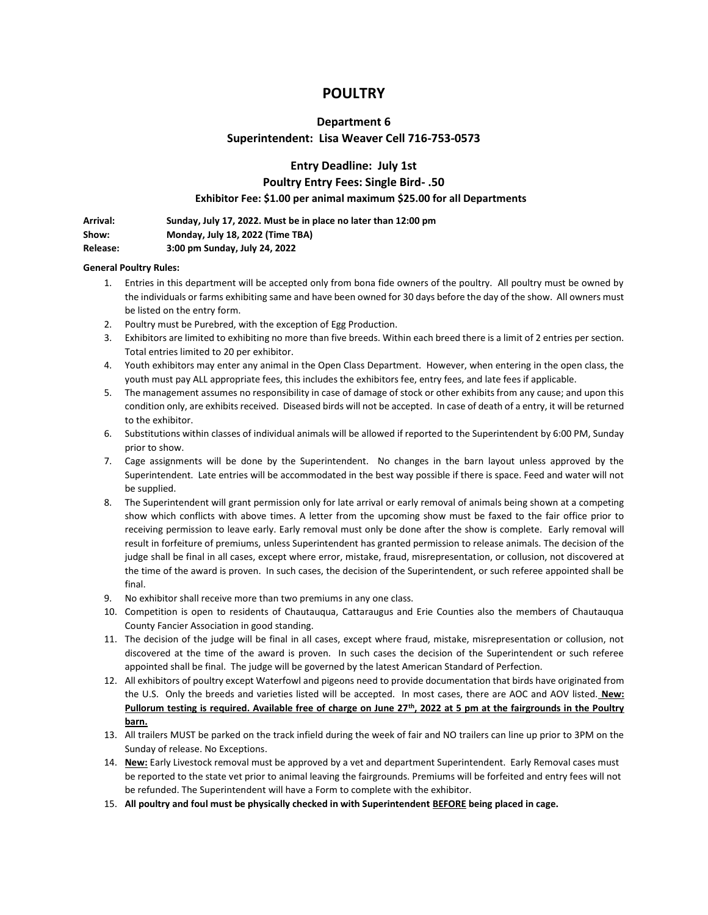# **POULTRY**

## **Department 6**

## **Superintendent: Lisa Weaver Cell 716-753-0573**

**Entry Deadline: July 1st**

## **Poultry Entry Fees: Single Bird- .50**

#### **Exhibitor Fee: \$1.00 per animal maximum \$25.00 for all Departments**

**Arrival: Sunday, July 17, 2022. Must be in place no later than 12:00 pm Show: Monday, July 18, 2022 (Time TBA)**

**Release: 3:00 pm Sunday, July 24, 2022**

#### **General Poultry Rules:**

- 1. Entries in this department will be accepted only from bona fide owners of the poultry. All poultry must be owned by the individuals or farms exhibiting same and have been owned for 30 days before the day of the show. All owners must be listed on the entry form.
- 2. Poultry must be Purebred, with the exception of Egg Production.
- 3. Exhibitors are limited to exhibiting no more than five breeds. Within each breed there is a limit of 2 entries per section. Total entries limited to 20 per exhibitor.
- 4. Youth exhibitors may enter any animal in the Open Class Department. However, when entering in the open class, the youth must pay ALL appropriate fees, this includes the exhibitors fee, entry fees, and late fees if applicable.
- 5. The management assumes no responsibility in case of damage of stock or other exhibits from any cause; and upon this condition only, are exhibits received. Diseased birds will not be accepted. In case of death of a entry, it will be returned to the exhibitor.
- 6. Substitutions within classes of individual animals will be allowed if reported to the Superintendent by 6:00 PM, Sunday prior to show.
- 7. Cage assignments will be done by the Superintendent. No changes in the barn layout unless approved by the Superintendent. Late entries will be accommodated in the best way possible if there is space. Feed and water will not be supplied.
- 8. The Superintendent will grant permission only for late arrival or early removal of animals being shown at a competing show which conflicts with above times. A letter from the upcoming show must be faxed to the fair office prior to receiving permission to leave early. Early removal must only be done after the show is complete. Early removal will result in forfeiture of premiums, unless Superintendent has granted permission to release animals. The decision of the judge shall be final in all cases, except where error, mistake, fraud, misrepresentation, or collusion, not discovered at the time of the award is proven. In such cases, the decision of the Superintendent, or such referee appointed shall be final.
- 9. No exhibitor shall receive more than two premiums in any one class.
- 10. Competition is open to residents of Chautauqua, Cattaraugus and Erie Counties also the members of Chautauqua County Fancier Association in good standing.
- 11. The decision of the judge will be final in all cases, except where fraud, mistake, misrepresentation or collusion, not discovered at the time of the award is proven. In such cases the decision of the Superintendent or such referee appointed shall be final. The judge will be governed by the latest American Standard of Perfection.
- 12. All exhibitors of poultry except Waterfowl and pigeons need to provide documentation that birds have originated from the U.S. Only the breeds and varieties listed will be accepted. In most cases, there are AOC and AOV listed. **New: Pullorum testing is required. Available free of charge on June 27th, 2022 at 5 pm at the fairgrounds in the Poultry barn.**
- 13. All trailers MUST be parked on the track infield during the week of fair and NO trailers can line up prior to 3PM on the Sunday of release. No Exceptions.
- 14. **New:** Early Livestock removal must be approved by a vet and department Superintendent. Early Removal cases must be reported to the state vet prior to animal leaving the fairgrounds. Premiums will be forfeited and entry fees will not be refunded. The Superintendent will have a Form to complete with the exhibitor.
- 15. **All poultry and foul must be physically checked in with Superintendent BEFORE being placed in cage.**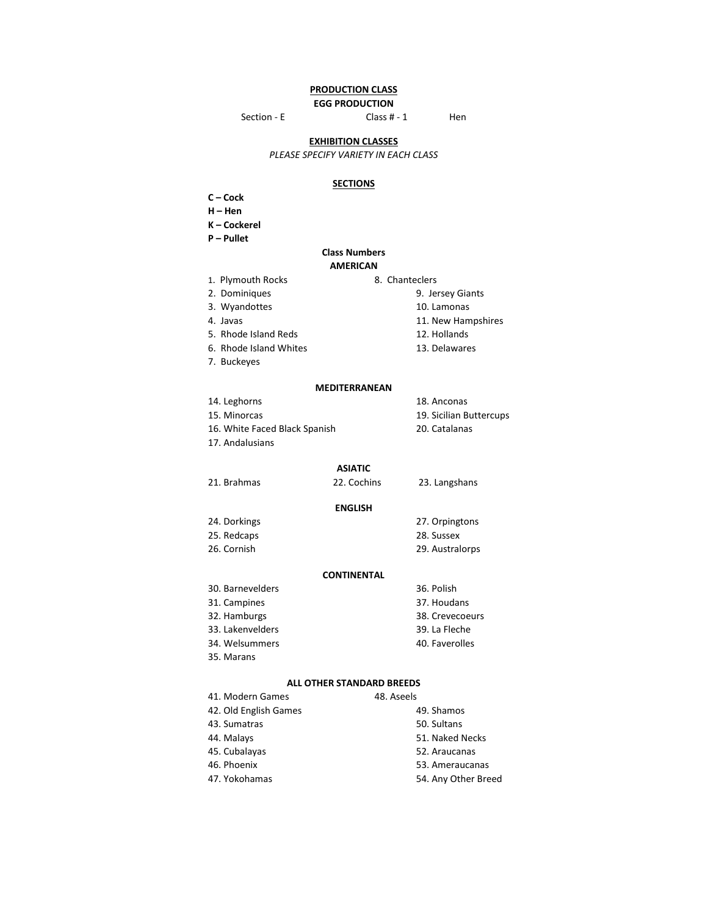## **PRODUCTION CLASS**

**EGG PRODUCTION**

Section - E Class # - 1 Hen

**EXHIBITION CLASSES**

*PLEASE SPECIFY VARIETY IN EACH CLASS*

## **SECTIONS**

**C – Cock**

**H – Hen**

**K – Cockerel**

**P – Pullet**

#### **Class Numbers AMERICAN**

- 1. Plymouth Rocks 8. Chanteclers
	-
- 
- 
- 5. Rhode Island Reds 12. Hollands
- 6. Rhode Island Whites 13. Delawares
- 7. Buckeyes

#### **MEDITERRANEAN**

14. Leghorns 18. Anconas 15. Minorcas 19. Sicilian Buttercups 16. White Faced Black Spanish 20. Catalanas

17. Andalusians

#### 21. Brahmas 22. Cochins 23. Langshans

#### **ENGLISH**

24. Dorkings 27. Orpingtons 25. Redcaps 28. Sussex

26. Cornish 29. Australorps

#### **CONTINENTAL**

| 30. Barnevelders | 36. Polish      |
|------------------|-----------------|
| 31. Campines     | 37. Houdans     |
| 32. Hamburgs     | 38. Crevecoeurs |
| 33. Lakenvelders | 39. La Fleche   |
| 34. Welsummers   | 40. Faverolles  |
| 35. Marans       |                 |

#### **ALL OTHER STANDARD BREEDS**

| 41. Modern Games      | 48. Aseels          |
|-----------------------|---------------------|
| 42. Old English Games | 49. Shamos          |
| 43. Sumatras          | 50. Sultans         |
| 44. Malays            | 51. Naked Necks     |
| 45. Cubalayas         | 52. Araucanas       |
| 46. Phoenix           | 53. Ameraucanas     |
| 47. Yokohamas         | 54. Any Other Breed |

- 2. Dominiques 9. Jersey Giants 3. Wyandottes 10. Lamonas
- 4. Javas 11. New Hampshires
	-
	- -
	-
	-
	- **ASIATIC**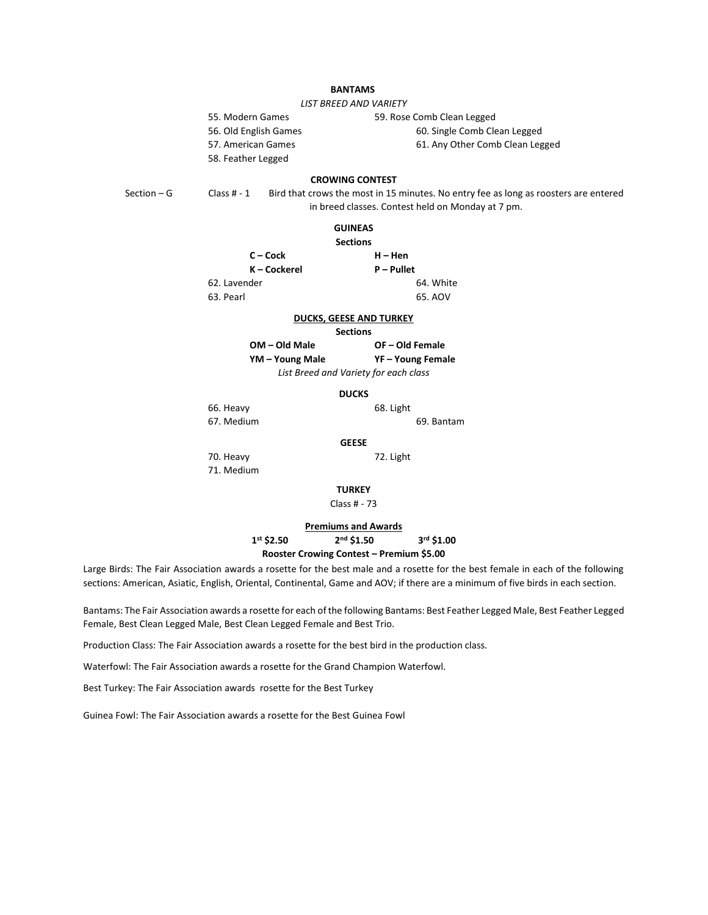## **BANTAMS**

*LIST BREED AND VARIETY*

55. Modern Games 59. Rose Comb Clean Legged 56. Old English Games 60. Single Comb Clean Legged

57. American Games 61. Any Other Comb Clean Legged

58. Feather Legged

**CROWING CONTEST**

Section – G Class # - 1 Bird that crows the most in 15 minutes. No entry fee as long as roosters are entered in breed classes. Contest held on Monday at 7 pm.

**C – Cock H – Hen**

## **GUINEAS**

**Sections**

| $C - C$ ock  | $H - Hen$  |  |
|--------------|------------|--|
| K – Cockerel | P – Pullet |  |
| 62. Lavender | 64. White  |  |
| 63. Pearl    | 65. AOV    |  |

#### **DUCKS, GEESE AND TURKEY**

**Sections**

| OM – Old Male                         | OF-Old Female     |
|---------------------------------------|-------------------|
| YM – Young Male                       | YF - Young Female |
| List Breed and Variety for each class |                   |

#### **DUCKS**

66. Heavy 68. Light

67. Medium 69. Bantam

**GEESE**

70. Heavy 72. Light 71. Medium

#### **TURKEY**

Class # - 73

### **Premiums and Awards 1st \$2.50 2nd \$1.50 3rd \$1.00 Rooster Crowing Contest – Premium \$5.00**

Large Birds: The Fair Association awards a rosette for the best male and a rosette for the best female in each of the following sections: American, Asiatic, English, Oriental, Continental, Game and AOV; if there are a minimum of five birds in each section.

Bantams: The Fair Association awards a rosette for each of the following Bantams: Best Feather Legged Male, Best Feather Legged Female, Best Clean Legged Male, Best Clean Legged Female and Best Trio.

Production Class: The Fair Association awards a rosette for the best bird in the production class.

Waterfowl: The Fair Association awards a rosette for the Grand Champion Waterfowl.

Best Turkey: The Fair Association awards rosette for the Best Turkey

Guinea Fowl: The Fair Association awards a rosette for the Best Guinea Fowl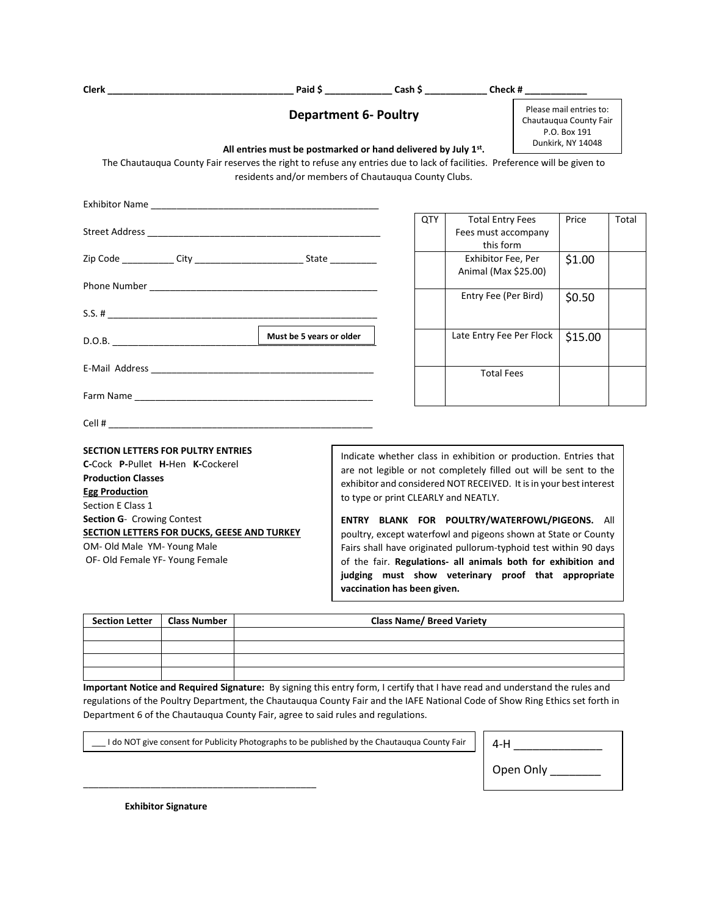|                                                                                                                                                                                                                                                                                                         |                                                      |                                                                                               |                                                             | Paid \$ __________________ Cash \$ ________________ Check # ______________                                                                                                                                                                                                                                                                                                                                                                                                                                                                                         |                                                                                        |         |  |
|---------------------------------------------------------------------------------------------------------------------------------------------------------------------------------------------------------------------------------------------------------------------------------------------------------|------------------------------------------------------|-----------------------------------------------------------------------------------------------|-------------------------------------------------------------|--------------------------------------------------------------------------------------------------------------------------------------------------------------------------------------------------------------------------------------------------------------------------------------------------------------------------------------------------------------------------------------------------------------------------------------------------------------------------------------------------------------------------------------------------------------------|----------------------------------------------------------------------------------------|---------|--|
|                                                                                                                                                                                                                                                                                                         |                                                      | <b>Department 6- Poultry</b><br>All entries must be postmarked or hand delivered by July 1st. |                                                             |                                                                                                                                                                                                                                                                                                                                                                                                                                                                                                                                                                    | Please mail entries to:<br>Chautaugua County Fair<br>P.O. Box 191<br>Dunkirk, NY 14048 |         |  |
| The Chautauqua County Fair reserves the right to refuse any entries due to lack of facilities. Preference will be given to                                                                                                                                                                              | residents and/or members of Chautauqua County Clubs. |                                                                                               |                                                             |                                                                                                                                                                                                                                                                                                                                                                                                                                                                                                                                                                    |                                                                                        |         |  |
| Exhibitor Name and the state of the state of the state of the state of the state of the state of the state of the state of the state of the state of the state of the state of the state of the state of the state of the stat                                                                          |                                                      |                                                                                               |                                                             |                                                                                                                                                                                                                                                                                                                                                                                                                                                                                                                                                                    |                                                                                        |         |  |
|                                                                                                                                                                                                                                                                                                         |                                                      | QTY                                                                                           | <b>Total Entry Fees</b><br>Fees must accompany<br>this form |                                                                                                                                                                                                                                                                                                                                                                                                                                                                                                                                                                    | Price                                                                                  | Total   |  |
|                                                                                                                                                                                                                                                                                                         |                                                      |                                                                                               | Exhibitor Fee, Per<br>Animal (Max \$25.00)                  |                                                                                                                                                                                                                                                                                                                                                                                                                                                                                                                                                                    | \$1.00                                                                                 |         |  |
|                                                                                                                                                                                                                                                                                                         |                                                      |                                                                                               |                                                             | Entry Fee (Per Bird)                                                                                                                                                                                                                                                                                                                                                                                                                                                                                                                                               |                                                                                        | \$0.50  |  |
| D.O.B.                                                                                                                                                                                                                                                                                                  | Must be 5 years or older                             |                                                                                               |                                                             | Late Entry Fee Per Flock                                                                                                                                                                                                                                                                                                                                                                                                                                                                                                                                           |                                                                                        | \$15.00 |  |
|                                                                                                                                                                                                                                                                                                         |                                                      |                                                                                               |                                                             | <b>Total Fees</b>                                                                                                                                                                                                                                                                                                                                                                                                                                                                                                                                                  |                                                                                        |         |  |
|                                                                                                                                                                                                                                                                                                         |                                                      |                                                                                               |                                                             |                                                                                                                                                                                                                                                                                                                                                                                                                                                                                                                                                                    |                                                                                        |         |  |
|                                                                                                                                                                                                                                                                                                         |                                                      |                                                                                               |                                                             |                                                                                                                                                                                                                                                                                                                                                                                                                                                                                                                                                                    |                                                                                        |         |  |
| <b>SECTION LETTERS FOR PULTRY ENTRIES</b><br>C-Cock P-Pullet H-Hen K-Cockerel<br><b>Production Classes</b><br><b>Egg Production</b><br>Section E Class 1<br>Section G- Crowing Contest<br>SECTION LETTERS FOR DUCKS, GEESE AND TURKEY<br>OM- Old Male YM- Young Male<br>OF- Old Female YF- Young Female |                                                      |                                                                                               |                                                             | Indicate whether class in exhibition or production. Entries that<br>are not legible or not completely filled out will be sent to the<br>exhibitor and considered NOT RECEIVED. It is in your best interest<br>to type or print CLEARLY and NEATLY.<br>ENTRY BLANK FOR POULTRY/WATERFOWL/PIGEONS. All<br>poultry, except waterfowl and pigeons shown at State or County<br>Fairs shall have originated pullorum-typhoid test within 90 days<br>of the fair. Regulations- all animals both for exhibition and<br>judging must show veterinary proof that appropriate |                                                                                        |         |  |

| Section Letter   Class Number | <b>Class Name/ Breed Variety</b> |
|-------------------------------|----------------------------------|
|                               |                                  |
|                               |                                  |
|                               |                                  |
|                               |                                  |

**Important Notice and Required Signature:** By signing this entry form, I certify that I have read and understand the rules and regulations of the Poultry Department, the Chautauqua County Fair and the IAFE National Code of Show Ring Ethics set forth in Department 6 of the Chautauqua County Fair, agree to said rules and regulations.

\_\_\_ I do NOT give consent for Publicity Photographs to be published by the Chautauqua County Fair

| 4-H       |
|-----------|
| Open Only |

 **Exhibitor Signature**

\_\_\_\_\_\_\_\_\_\_\_\_\_\_\_\_\_\_\_\_\_\_\_\_\_\_\_\_\_\_\_\_\_\_\_\_\_\_\_\_\_\_\_\_\_